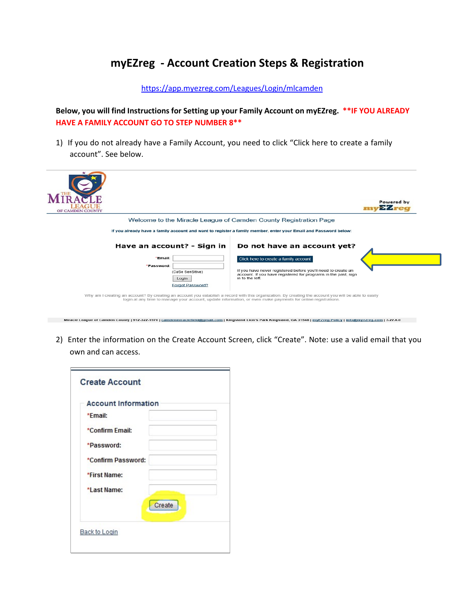## **myEZreg - Account Creation Steps & Registration**

<https://app.myezreg.com/Leagues/Login/mlcamden>

**Below, you will find Instructions for Setting up your Family Account on myEZreg. \*\*IF YOU ALREADY HAVE A FAMILY ACCOUNT GO TO STEP NUMBER 8\*\***

1) If you do not already have a Family Account, you need to click "Click here to create a family account". See below.

| OF CAMDEN COUNTY |                                                                                                                                                                                                    | Powered by<br>$Z$ we define |
|------------------|----------------------------------------------------------------------------------------------------------------------------------------------------------------------------------------------------|-----------------------------|
|                  | Welcome to the Miracle League of Camden County Registration Page                                                                                                                                   |                             |
|                  | If you already have a family account and want to register a family member, enter your Email and Password below:                                                                                    |                             |
|                  | Have an account? - Sign in<br>Do not have an account yet?                                                                                                                                          |                             |
| *Email:          | Click here to create a family account                                                                                                                                                              |                             |
| *Password:       | If you have never registered before you'll need to create an<br>(CaSe SenSitive)<br>account. If you have registered for programs in the past, sign<br>in to the left.<br>Login<br>Forgot Password? |                             |

2) Enter the information on the Create Account Screen, click "Create". Note: use a valid email that you own and can access.

Miracle League of Camden County | 912-322-1970 | <u>camdenmiraclefield@gmail.com</u> | Kingsland Lion's Park Kingsland, GA 31548 | <u>myFZreg Policy | info@myezreg.com</u> | 3.22.0.0

| <b>Account Information</b> |        |  |
|----------------------------|--------|--|
| *Email:                    |        |  |
| *Confirm Email:            |        |  |
| *Password:                 |        |  |
| *Confirm Password:         |        |  |
| *First Name:               |        |  |
| *Last Name:                |        |  |
|                            | Create |  |
|                            |        |  |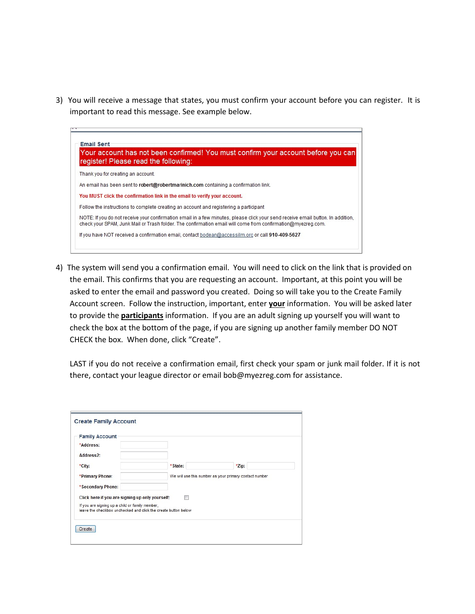3) You will receive a message that states, you must confirm your account before you can register. It is important to read this message. See example below.



4) The system will send you a confirmation email. You will need to click on the link that is provided on the email. This confirms that you are requesting an account. Important, at this point you will be asked to enter the email and password you created. Doing so will take you to the Create Family Account screen. Follow the instruction, important, enter **your** information. You will be asked later to provide the **participants** information. If you are an adult signing up yourself you will want to check the box at the bottom of the page, if you are signing up another family member DO NOT CHECK the box. When done, click "Create".

LAST if you do not receive a confirmation email, first check your spam or junk mail folder. If it is not there, contact your league director or email bob@myezreg.com for assistance.

| <b>Family Account</b>                                                                                             |         |                                                        |  |
|-------------------------------------------------------------------------------------------------------------------|---------|--------------------------------------------------------|--|
| *Address:                                                                                                         |         |                                                        |  |
| Address <sub>2</sub> :                                                                                            |         |                                                        |  |
| *City:                                                                                                            | *State: | *Zip:                                                  |  |
| *Primary Phone:                                                                                                   |         | We will use this number as your primary contact number |  |
| *Secondary Phone:                                                                                                 |         |                                                        |  |
| Click here if you are signing up only yourself:                                                                   |         |                                                        |  |
| If you are signing up a child or family member,<br>leave the checkbox unchecked and click the create button below |         |                                                        |  |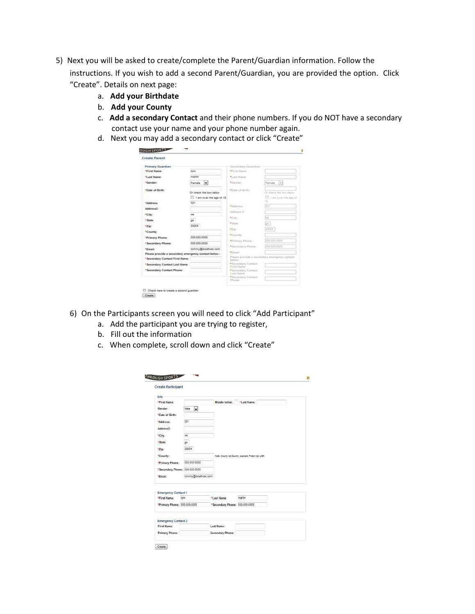- 5) Next you will be asked to create/complete the Parent/Guardian information. Follow the instructions. If you wish to add a second Parent/Guardian, you are provided the option. Click "Create". Details on next page:
	- a. **Add your Birthdate**
	- b. **Add your County**
	- c. **Add a secondary Contact** and their phone numbers. If you do NOT have a secondary contact use your name and your phone number again.
	- d. Next you may add a secondary contact or click "Create"

| Primary Guardian<br><b>IFIrst Name:</b>              |                            | Secondary Guardian<br>*Circl Name                       |                        |
|------------------------------------------------------|----------------------------|---------------------------------------------------------|------------------------|
|                                                      | tom                        |                                                         |                        |
| <sup>11</sup> Last Name:                             | marin                      | <sup>*</sup> Link Name:                                 |                        |
| *Gender:                                             | Female<br>۰ı               | *Gender:                                                | Famale<br>$\sim$       |
| *Date of Birth:                                      | Or check the box below     | *Date of Birth:                                         | Or check the hot boow  |
|                                                      | 13 I am over the age of 18 |                                                         | 1 I am ever the age of |
| *Address:                                            | 321                        |                                                         | 1m                     |
| Address?                                             |                            | *Lobinsar                                               | ltri                   |
|                                                      | we                         | Address 21.                                             |                        |
| *City:                                               |                            | *City:                                                  | m                      |
| * State:                                             | 04                         | * Unana-                                                | ija.                   |
| *Zip:                                                | 30004                      | $*25$ g:                                                | 30004                  |
| *County:                                             |                            | *County:                                                |                        |
| *Primary Phone:                                      | 553-555-5555               |                                                         | 433,433,4334           |
| *Secondary Phone:                                    | 555-555-5555               | *Primary Phone:                                         |                        |
| *Email:                                              | tommy@localhost.com        | * Iscondary Phone:                                      | AAACAAACAAAA           |
| Please provide a secondary emergency contact below : |                            | *Consil                                                 |                        |
| <sup>*</sup> Secondary Contact First Name:           |                            | Please provide a secondary emergency contact<br>below): |                        |
| *Secondary Contact Last Name:                        |                            | * leoondary Contact<br>First Name:                      |                        |
| *Secondary Contact Phone:                            |                            | · Incondary Contact<br><b>Cest Hame:</b>                |                        |
|                                                      |                            | · Secondary Contast                                     |                        |
|                                                      |                            | Phone:                                                  |                        |

- 6) On the Participants screen you will need to click "Add Participant"
	- a. Add the participant you are trying to register,
	- b. Fill out the information
	- c. When complete, scroll down and click "Create"

| <b>HROUGH SPORTS</b><br><b>Create Participant</b> |                     |                                |                                                    |  |
|---------------------------------------------------|---------------------|--------------------------------|----------------------------------------------------|--|
| Info                                              |                     |                                |                                                    |  |
| *First Name:                                      |                     | Middle Initial: *Last Name:    |                                                    |  |
| Gender:                                           | ī.<br>Male          |                                |                                                    |  |
| *Date of Birth:                                   |                     |                                |                                                    |  |
| *Address:                                         | 321                 |                                |                                                    |  |
| Address2:                                         |                     |                                |                                                    |  |
| *City:                                            | we                  |                                |                                                    |  |
| * State:                                          | QB                  |                                |                                                    |  |
| "Zip:                                             | 30004               |                                |                                                    |  |
| *County:                                          |                     |                                | Note: County not Country, example, Fulton not, USA |  |
| *Primary Phone:                                   | 555, 555, 5555      |                                |                                                    |  |
| *Secondary Phone: 555-555-5555                    |                     |                                |                                                    |  |
| *Email:                                           | tommy@localhost.com |                                |                                                    |  |
|                                                   |                     |                                |                                                    |  |
| <b>Emergency Contact 1</b><br>*First Name:        | tom                 | "Last Name:                    | martin                                             |  |
|                                                   |                     |                                |                                                    |  |
| *Primary Phone: 555-555-5555                      |                     | *Secondary Phone: 555-555-5555 |                                                    |  |
|                                                   |                     |                                |                                                    |  |
| <b>Emergency Contact 2</b><br>First Name:         |                     | Last Name:                     |                                                    |  |
|                                                   |                     |                                |                                                    |  |
| Primary Phone:                                    |                     | Secondary Phone:               |                                                    |  |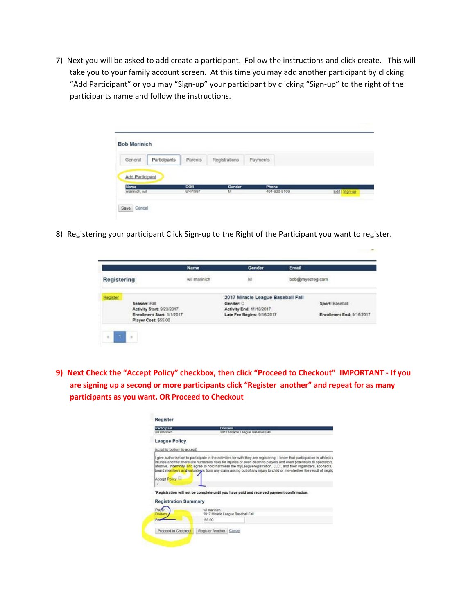7) Next you will be asked to add create a participant. Follow the instructions and click create. This will take you to your family account screen. At this time you may add another participant by clicking "Add Participant" or you may "Sign-up" your participant by clicking "Sign-up" to the right of the participants name and follow the instructions.

|                              | <b>Bob Marinich</b> |                 |               |              |                |
|------------------------------|---------------------|-----------------|---------------|--------------|----------------|
| General                      | Participants        | Parents         | Registrations | Payments     |                |
| Add Participant              |                     |                 |               |              |                |
|                              |                     |                 | Gender        | Phone        |                |
| <b>Name</b><br>marinich, wil |                     | DOB<br>6/4/1997 | M             | 404-630-5109 | Edit   Sign-up |

8) Registering your participant Click Sign-up to the Right of the Participant you want to register.

|             |                                                                                 | <b>Name</b>  | Gender                                                 | Email                     |
|-------------|---------------------------------------------------------------------------------|--------------|--------------------------------------------------------|---------------------------|
| Registering |                                                                                 | wil marinich | M                                                      | bob@myezreg.com           |
| Register    | Season: Fall                                                                    |              | 2017 Miracle League Baseball Fall<br>Gender: C         | Sport: Baseball           |
|             | Activity Start: 9/23/2017<br>Enrollment Start: 1/1/2017<br>Player Cost: \$55.00 |              | Activity End: 11/18/2017<br>Late Fee Begins: 9/16/2017 | Enrollment End: 9/16/2017 |

**9) Next Check the "Accept Policy" checkbox, then click "Proceed to Checkout" IMPORTANT - If you**  are signing up a second or more participants click "Register another" and repeat for as many **participants as you want. OR Proceed to Checkout**

| Participant                  | Division                                                                                                                                                                                                                                                                                                                                                                                                                                                |
|------------------------------|---------------------------------------------------------------------------------------------------------------------------------------------------------------------------------------------------------------------------------------------------------------------------------------------------------------------------------------------------------------------------------------------------------------------------------------------------------|
| wil marinich.                | 2017 Miracle League Baseball Fall                                                                                                                                                                                                                                                                                                                                                                                                                       |
| <b>League Policy</b>         |                                                                                                                                                                                                                                                                                                                                                                                                                                                         |
| (scroll to bottom to accept) |                                                                                                                                                                                                                                                                                                                                                                                                                                                         |
| <b>Accept Policy</b>         | injuries and that there are numerous risks for injuries or even death to players and even potentially to spectators,<br>absolve, indemnify, and agree to hold harmless the myLeagueregistration, LLC, and their organizers, sponsors,<br>board members and voluntears from any claim arising out of any injury to child or me whether the result of neglig<br>"Registration will not be complete until you have paid and received payment confirmation. |
| <b>Registration Summary</b>  |                                                                                                                                                                                                                                                                                                                                                                                                                                                         |
| Playe                        | wil marinich<br>2017 Miracle League Baseball Fall                                                                                                                                                                                                                                                                                                                                                                                                       |
|                              | 55.00                                                                                                                                                                                                                                                                                                                                                                                                                                                   |
|                              |                                                                                                                                                                                                                                                                                                                                                                                                                                                         |